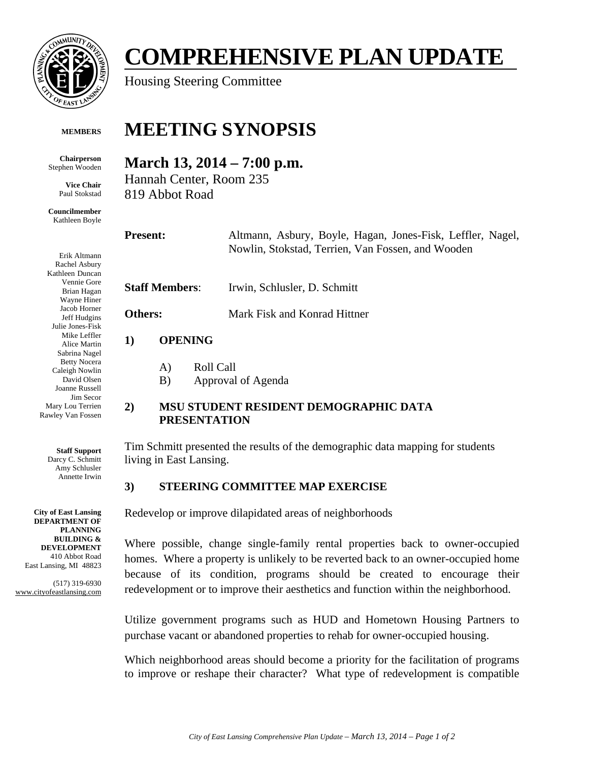

# **COMPREHENSIVE PLAN UPDATE**

Housing Steering Committee

#### **MEMBERS**

**Chairperson**  Stephen Wooden

> **Vice Chair**  Paul Stokstad

**Councilmember**  Kathleen Boyle

Erik Altmann Rachel Asbury Kathleen Duncan Vennie Gore Brian Hagan Wayne Hiner Jacob Horner Jeff Hudgins Julie Jones-Fisk Mike Leffler Alice Martin Sabrina Nagel Betty Nocera Caleigh Nowlin David Olsen Joanne Russell Jim Secor Mary Lou Terrien Rawley Van Fossen

> **Staff Support**  Darcy C. Schmitt Amy Schlusler Annette Irwin

**City of East Lansing DEPARTMENT OF PLANNING BUILDING & DEVELOPMENT**  410 Abbot Road East Lansing, MI 48823

(517) 319-6930 www.cityofeastlansing.com

## **MEETING SYNOPSIS**

### **March 13, 2014 – 7:00 p.m.**

Hannah Center, Room 235 819 Abbot Road

| <b>Present:</b> |
|-----------------|
|-----------------|

**Present:** Altmann, Asbury, Boyle, Hagan, Jones-Fisk, Leffler, Nagel, Nowlin, Stokstad, Terrien, Van Fossen, and Wooden

**Staff Members**: Irwin, Schlusler, D. Schmitt

**Others:** Mark Fisk and Konrad Hittner

#### **1) OPENING**

A) Roll Call

B) Approval of Agenda

#### **2) MSU STUDENT RESIDENT DEMOGRAPHIC DATA PRESENTATION**

Tim Schmitt presented the results of the demographic data mapping for students living in East Lansing.

#### **3) STEERING COMMITTEE MAP EXERCISE**

Redevelop or improve dilapidated areas of neighborhoods

Where possible, change single-family rental properties back to owner-occupied homes. Where a property is unlikely to be reverted back to an owner-occupied home because of its condition, programs should be created to encourage their redevelopment or to improve their aesthetics and function within the neighborhood.

Utilize government programs such as HUD and Hometown Housing Partners to purchase vacant or abandoned properties to rehab for owner-occupied housing.

Which neighborhood areas should become a priority for the facilitation of programs to improve or reshape their character? What type of redevelopment is compatible